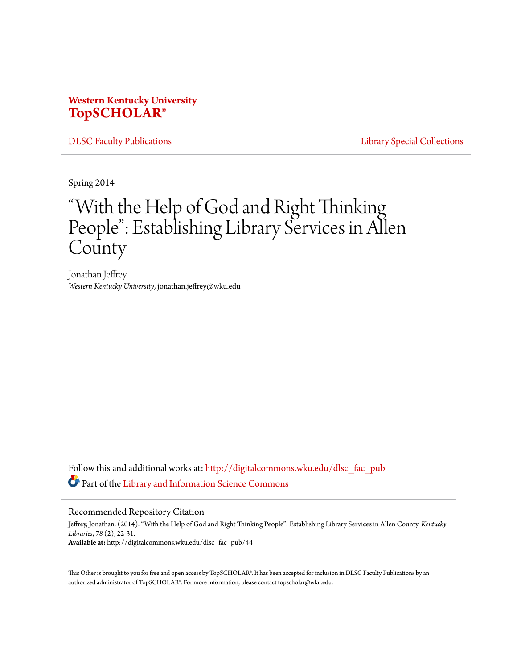# **Western Kentucky University [TopSCHOLAR®](http://digitalcommons.wku.edu?utm_source=digitalcommons.wku.edu%2Fdlsc_fac_pub%2F44&utm_medium=PDF&utm_campaign=PDFCoverPages)**

[DLSC Faculty Publications](http://digitalcommons.wku.edu/dlsc_fac_pub?utm_source=digitalcommons.wku.edu%2Fdlsc_fac_pub%2F44&utm_medium=PDF&utm_campaign=PDFCoverPages) [Library Special Collections](http://digitalcommons.wku.edu/dlsc?utm_source=digitalcommons.wku.edu%2Fdlsc_fac_pub%2F44&utm_medium=PDF&utm_campaign=PDFCoverPages)

Spring 2014

# "With the Help of God and Right Thinking People": Establishing Library Services in Allen **County**

Jonathan Jeffrey *Western Kentucky University*, jonathan.jeffrey@wku.edu

Follow this and additional works at: [http://digitalcommons.wku.edu/dlsc\\_fac\\_pub](http://digitalcommons.wku.edu/dlsc_fac_pub?utm_source=digitalcommons.wku.edu%2Fdlsc_fac_pub%2F44&utm_medium=PDF&utm_campaign=PDFCoverPages) Part of the [Library and Information Science Commons](http://network.bepress.com/hgg/discipline/1018?utm_source=digitalcommons.wku.edu%2Fdlsc_fac_pub%2F44&utm_medium=PDF&utm_campaign=PDFCoverPages)

#### Recommended Repository Citation

Jeffrey, Jonathan. (2014). "With the Help of God and Right Thinking People": Establishing Library Services in Allen County. *Kentucky Libraries*, *78* (2), 22-31. **Available at:** http://digitalcommons.wku.edu/dlsc\_fac\_pub/44

This Other is brought to you for free and open access by TopSCHOLAR®. It has been accepted for inclusion in DLSC Faculty Publications by an authorized administrator of TopSCHOLAR®. For more information, please contact topscholar@wku.edu.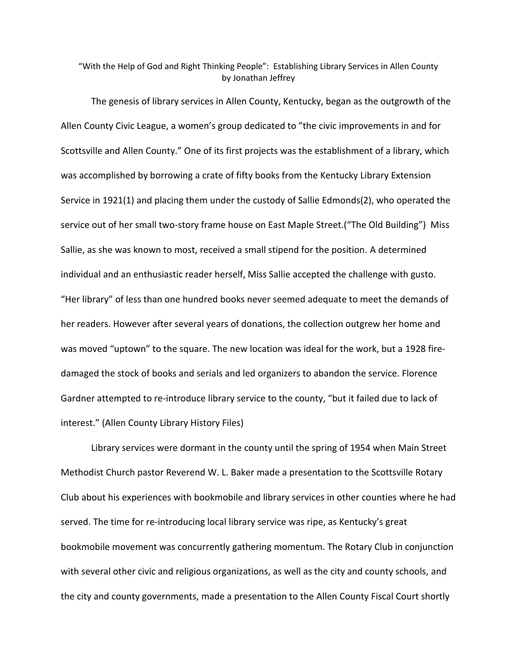"With the Help of God and Right Thinking People": Establishing Library Services in Allen County by Jonathan Jeffrey

The genesis of library services in Allen County, Kentucky, began as the outgrowth of the Allen County Civic League, a women's group dedicated to "the civic improvements in and for Scottsville and Allen County." One of its first projects was the establishment of a library, which was accomplished by borrowing a crate of fifty books from the Kentucky Library Extension Service in 1921(1) and placing them under the custody of Sallie Edmonds(2), who operated the service out of her small two-story frame house on East Maple Street.("The Old Building") Miss Sallie, as she was known to most, received a small stipend for the position. A determined individual and an enthusiastic reader herself, Miss Sallie accepted the challenge with gusto. "Her library" of less than one hundred books never seemed adequate to meet the demands of her readers. However after several years of donations, the collection outgrew her home and was moved "uptown" to the square. The new location was ideal for the work, but a 1928 firedamaged the stock of books and serials and led organizers to abandon the service. Florence Gardner attempted to re-introduce library service to the county, "but it failed due to lack of interest." (Allen County Library History Files)

Library services were dormant in the county until the spring of 1954 when Main Street Methodist Church pastor Reverend W. L. Baker made a presentation to the Scottsville Rotary Club about his experiences with bookmobile and library services in other counties where he had served. The time for re-introducing local library service was ripe, as Kentucky's great bookmobile movement was concurrently gathering momentum. The Rotary Club in conjunction with several other civic and religious organizations, as well as the city and county schools, and the city and county governments, made a presentation to the Allen County Fiscal Court shortly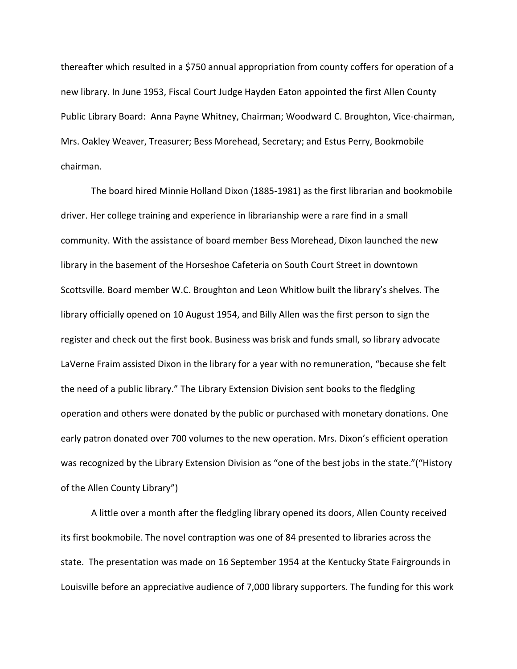thereafter which resulted in a \$750 annual appropriation from county coffers for operation of a new library. In June 1953, Fiscal Court Judge Hayden Eaton appointed the first Allen County Public Library Board: Anna Payne Whitney, Chairman; Woodward C. Broughton, Vice-chairman, Mrs. Oakley Weaver, Treasurer; Bess Morehead, Secretary; and Estus Perry, Bookmobile chairman.

The board hired Minnie Holland Dixon (1885-1981) as the first librarian and bookmobile driver. Her college training and experience in librarianship were a rare find in a small community. With the assistance of board member Bess Morehead, Dixon launched the new library in the basement of the Horseshoe Cafeteria on South Court Street in downtown Scottsville. Board member W.C. Broughton and Leon Whitlow built the library's shelves. The library officially opened on 10 August 1954, and Billy Allen was the first person to sign the register and check out the first book. Business was brisk and funds small, so library advocate LaVerne Fraim assisted Dixon in the library for a year with no remuneration, "because she felt the need of a public library." The Library Extension Division sent books to the fledgling operation and others were donated by the public or purchased with monetary donations. One early patron donated over 700 volumes to the new operation. Mrs. Dixon's efficient operation was recognized by the Library Extension Division as "one of the best jobs in the state."("History of the Allen County Library")

A little over a month after the fledgling library opened its doors, Allen County received its first bookmobile. The novel contraption was one of 84 presented to libraries across the state. The presentation was made on 16 September 1954 at the Kentucky State Fairgrounds in Louisville before an appreciative audience of 7,000 library supporters. The funding for this work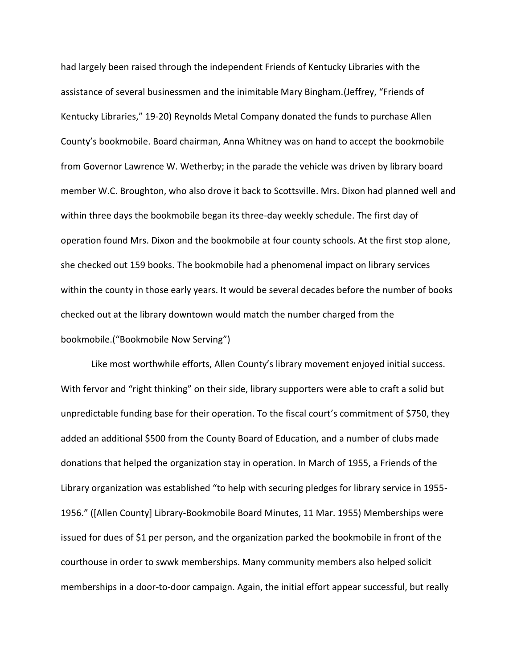had largely been raised through the independent Friends of Kentucky Libraries with the assistance of several businessmen and the inimitable Mary Bingham.(Jeffrey, "Friends of Kentucky Libraries," 19-20) Reynolds Metal Company donated the funds to purchase Allen County's bookmobile. Board chairman, Anna Whitney was on hand to accept the bookmobile from Governor Lawrence W. Wetherby; in the parade the vehicle was driven by library board member W.C. Broughton, who also drove it back to Scottsville. Mrs. Dixon had planned well and within three days the bookmobile began its three-day weekly schedule. The first day of operation found Mrs. Dixon and the bookmobile at four county schools. At the first stop alone, she checked out 159 books. The bookmobile had a phenomenal impact on library services within the county in those early years. It would be several decades before the number of books checked out at the library downtown would match the number charged from the bookmobile.("Bookmobile Now Serving")

Like most worthwhile efforts, Allen County's library movement enjoyed initial success. With fervor and "right thinking" on their side, library supporters were able to craft a solid but unpredictable funding base for their operation. To the fiscal court's commitment of \$750, they added an additional \$500 from the County Board of Education, and a number of clubs made donations that helped the organization stay in operation. In March of 1955, a Friends of the Library organization was established "to help with securing pledges for library service in 1955- 1956." ([Allen County] Library-Bookmobile Board Minutes, 11 Mar. 1955) Memberships were issued for dues of \$1 per person, and the organization parked the bookmobile in front of the courthouse in order to swwk memberships. Many community members also helped solicit memberships in a door-to-door campaign. Again, the initial effort appear successful, but really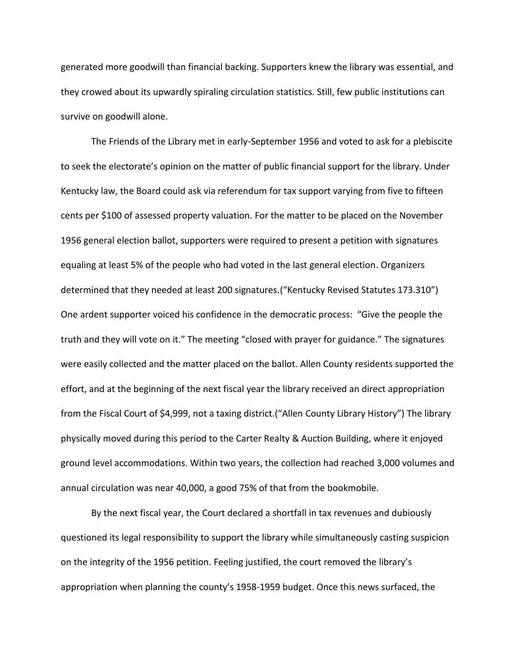generated more goodwill than financial backing. Supporters knew the library was essential, and they crowed about its upwardly spiraling circulation statistics. Still, few public institutions can survive on goodwill alone.

The Friends of the Library met in early-September 1956 and voted to ask for a plebiscite to seek the electorate's opinion on the matter of public financial support for the library. Under Kentucky law, the Board could ask via referendum for tax support varying from five to fifteen cents per \$100 of assessed property valuation. For the matter to be placed on the November 1956 general election ballot, supporters were required to present a petition with signatures equaling at least 5% of the people who had voted in the last general election. Organizers determined that they needed at least 200 signatures.("Kentucky Revised Statutes 173.310") One ardent supporter voiced his confidence in the democratic process: "Give the people the truth and they will vote on it." The meeting "closed with prayer for guidance." The signatures were easily collected and the matter placed on the ballot. Allen County residents supported the effort, and at the beginning of the next fiscal year the library received an direct appropriation from the Fiscal Court of \$4,999, not a taxing district.("Allen County Library History") The library physically moved during this period to the Carter Realty & Auction Building, where it enjoyed ground level accommodations. Within two years, the collection had reached 3,000 volumes and annual circulation was near 40,000, a good 75% of that from the bookmobile.

By the next fiscal year, the Court declared a shortfall in tax revenues and dubiously questioned its legal responsibility to support the library while simultaneously casting suspicion on the integrity of the 1956 petition. Feeling justified, the court removed the library's appropriation when planning the county's 1958-1959 budget. Once this news surfaced, the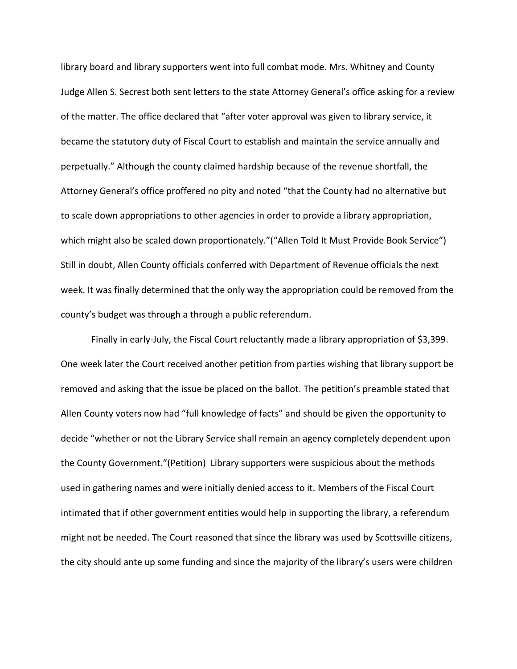library board and library supporters went into full combat mode. Mrs. Whitney and County Judge Allen S. Secrest both sent letters to the state Attorney General's office asking for a review of the matter. The office declared that "after voter approval was given to library service, it became the statutory duty of Fiscal Court to establish and maintain the service annually and perpetually." Although the county claimed hardship because of the revenue shortfall, the Attorney General's office proffered no pity and noted "that the County had no alternative but to scale down appropriations to other agencies in order to provide a library appropriation, which might also be scaled down proportionately."("Allen Told It Must Provide Book Service") Still in doubt, Allen County officials conferred with Department of Revenue officials the next week. It was finally determined that the only way the appropriation could be removed from the county's budget was through a through a public referendum.

Finally in early-July, the Fiscal Court reluctantly made a library appropriation of \$3,399. One week later the Court received another petition from parties wishing that library support be removed and asking that the issue be placed on the ballot. The petition's preamble stated that Allen County voters now had "full knowledge of facts" and should be given the opportunity to decide "whether or not the Library Service shall remain an agency completely dependent upon the County Government."(Petition) Library supporters were suspicious about the methods used in gathering names and were initially denied access to it. Members of the Fiscal Court intimated that if other government entities would help in supporting the library, a referendum might not be needed. The Court reasoned that since the library was used by Scottsville citizens, the city should ante up some funding and since the majority of the library's users were children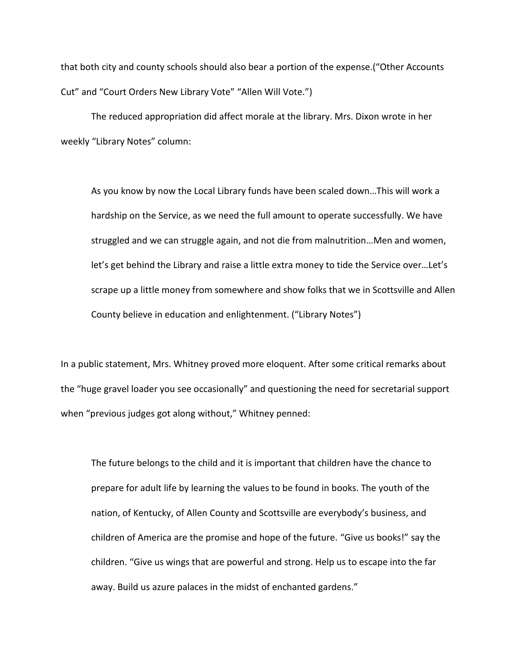that both city and county schools should also bear a portion of the expense.("Other Accounts Cut" and "Court Orders New Library Vote" "Allen Will Vote.")

The reduced appropriation did affect morale at the library. Mrs. Dixon wrote in her weekly "Library Notes" column:

As you know by now the Local Library funds have been scaled down…This will work a hardship on the Service, as we need the full amount to operate successfully. We have struggled and we can struggle again, and not die from malnutrition…Men and women, let's get behind the Library and raise a little extra money to tide the Service over…Let's scrape up a little money from somewhere and show folks that we in Scottsville and Allen County believe in education and enlightenment. ("Library Notes")

In a public statement, Mrs. Whitney proved more eloquent. After some critical remarks about the "huge gravel loader you see occasionally" and questioning the need for secretarial support when "previous judges got along without," Whitney penned:

The future belongs to the child and it is important that children have the chance to prepare for adult life by learning the values to be found in books. The youth of the nation, of Kentucky, of Allen County and Scottsville are everybody's business, and children of America are the promise and hope of the future. "Give us books!" say the children. "Give us wings that are powerful and strong. Help us to escape into the far away. Build us azure palaces in the midst of enchanted gardens."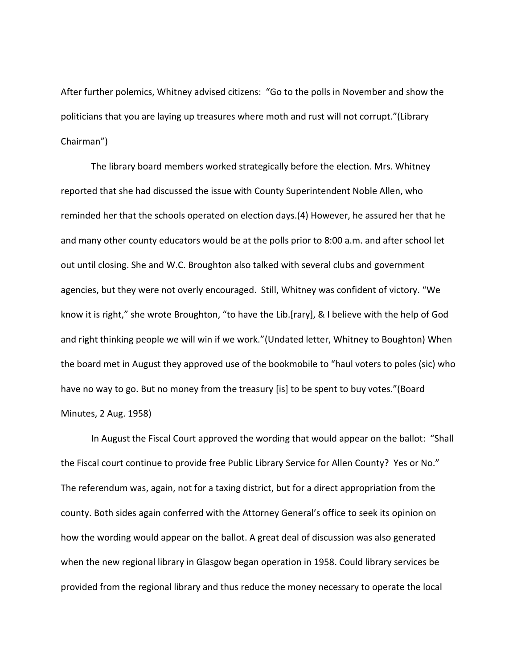After further polemics, Whitney advised citizens: "Go to the polls in November and show the politicians that you are laying up treasures where moth and rust will not corrupt."(Library Chairman")

The library board members worked strategically before the election. Mrs. Whitney reported that she had discussed the issue with County Superintendent Noble Allen, who reminded her that the schools operated on election days.(4) However, he assured her that he and many other county educators would be at the polls prior to 8:00 a.m. and after school let out until closing. She and W.C. Broughton also talked with several clubs and government agencies, but they were not overly encouraged. Still, Whitney was confident of victory. "We know it is right," she wrote Broughton, "to have the Lib.[rary], & I believe with the help of God and right thinking people we will win if we work."(Undated letter, Whitney to Boughton) When the board met in August they approved use of the bookmobile to "haul voters to poles (sic) who have no way to go. But no money from the treasury [is] to be spent to buy votes."(Board Minutes, 2 Aug. 1958)

In August the Fiscal Court approved the wording that would appear on the ballot: "Shall the Fiscal court continue to provide free Public Library Service for Allen County? Yes or No." The referendum was, again, not for a taxing district, but for a direct appropriation from the county. Both sides again conferred with the Attorney General's office to seek its opinion on how the wording would appear on the ballot. A great deal of discussion was also generated when the new regional library in Glasgow began operation in 1958. Could library services be provided from the regional library and thus reduce the money necessary to operate the local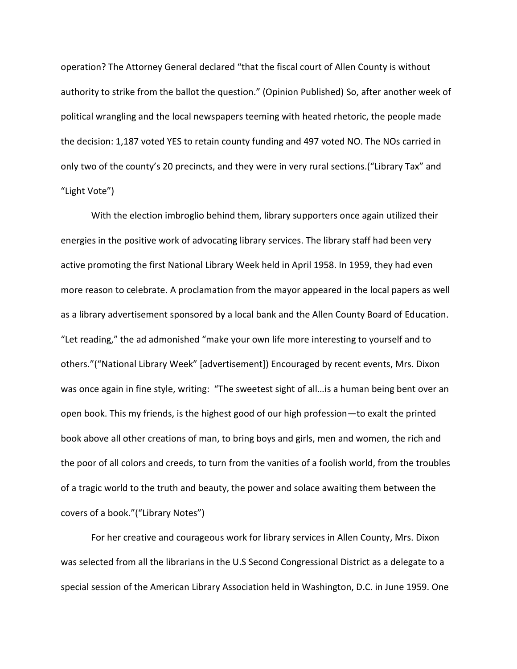operation? The Attorney General declared "that the fiscal court of Allen County is without authority to strike from the ballot the question." (Opinion Published) So, after another week of political wrangling and the local newspapers teeming with heated rhetoric, the people made the decision: 1,187 voted YES to retain county funding and 497 voted NO. The NOs carried in only two of the county's 20 precincts, and they were in very rural sections.("Library Tax" and "Light Vote")

With the election imbroglio behind them, library supporters once again utilized their energies in the positive work of advocating library services. The library staff had been very active promoting the first National Library Week held in April 1958. In 1959, they had even more reason to celebrate. A proclamation from the mayor appeared in the local papers as well as a library advertisement sponsored by a local bank and the Allen County Board of Education. "Let reading," the ad admonished "make your own life more interesting to yourself and to others."("National Library Week" [advertisement]) Encouraged by recent events, Mrs. Dixon was once again in fine style, writing: "The sweetest sight of all…is a human being bent over an open book. This my friends, is the highest good of our high profession—to exalt the printed book above all other creations of man, to bring boys and girls, men and women, the rich and the poor of all colors and creeds, to turn from the vanities of a foolish world, from the troubles of a tragic world to the truth and beauty, the power and solace awaiting them between the covers of a book."("Library Notes")

For her creative and courageous work for library services in Allen County, Mrs. Dixon was selected from all the librarians in the U.S Second Congressional District as a delegate to a special session of the American Library Association held in Washington, D.C. in June 1959. One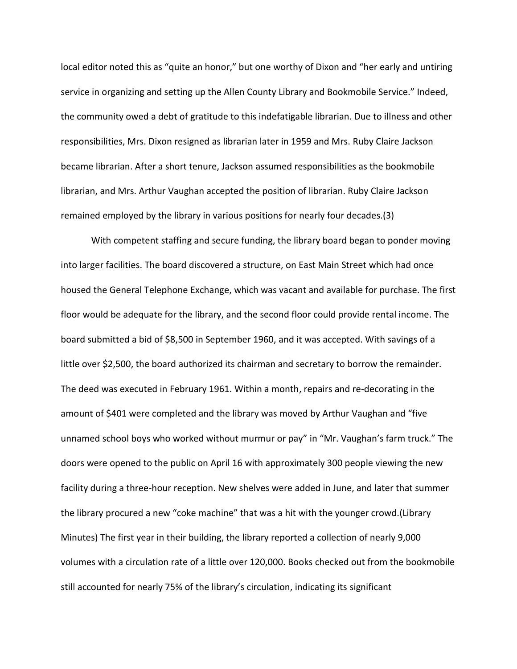local editor noted this as "quite an honor," but one worthy of Dixon and "her early and untiring service in organizing and setting up the Allen County Library and Bookmobile Service." Indeed, the community owed a debt of gratitude to this indefatigable librarian. Due to illness and other responsibilities, Mrs. Dixon resigned as librarian later in 1959 and Mrs. Ruby Claire Jackson became librarian. After a short tenure, Jackson assumed responsibilities as the bookmobile librarian, and Mrs. Arthur Vaughan accepted the position of librarian. Ruby Claire Jackson remained employed by the library in various positions for nearly four decades.(3)

With competent staffing and secure funding, the library board began to ponder moving into larger facilities. The board discovered a structure, on East Main Street which had once housed the General Telephone Exchange, which was vacant and available for purchase. The first floor would be adequate for the library, and the second floor could provide rental income. The board submitted a bid of \$8,500 in September 1960, and it was accepted. With savings of a little over \$2,500, the board authorized its chairman and secretary to borrow the remainder. The deed was executed in February 1961. Within a month, repairs and re-decorating in the amount of \$401 were completed and the library was moved by Arthur Vaughan and "five unnamed school boys who worked without murmur or pay" in "Mr. Vaughan's farm truck." The doors were opened to the public on April 16 with approximately 300 people viewing the new facility during a three-hour reception. New shelves were added in June, and later that summer the library procured a new "coke machine" that was a hit with the younger crowd.(Library Minutes) The first year in their building, the library reported a collection of nearly 9,000 volumes with a circulation rate of a little over 120,000. Books checked out from the bookmobile still accounted for nearly 75% of the library's circulation, indicating its significant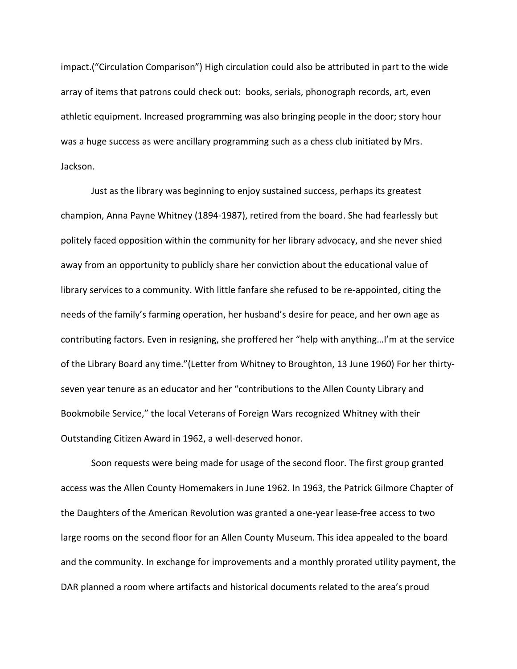impact.("Circulation Comparison") High circulation could also be attributed in part to the wide array of items that patrons could check out: books, serials, phonograph records, art, even athletic equipment. Increased programming was also bringing people in the door; story hour was a huge success as were ancillary programming such as a chess club initiated by Mrs. Jackson.

Just as the library was beginning to enjoy sustained success, perhaps its greatest champion, Anna Payne Whitney (1894-1987), retired from the board. She had fearlessly but politely faced opposition within the community for her library advocacy, and she never shied away from an opportunity to publicly share her conviction about the educational value of library services to a community. With little fanfare she refused to be re-appointed, citing the needs of the family's farming operation, her husband's desire for peace, and her own age as contributing factors. Even in resigning, she proffered her "help with anything…I'm at the service of the Library Board any time."(Letter from Whitney to Broughton, 13 June 1960) For her thirtyseven year tenure as an educator and her "contributions to the Allen County Library and Bookmobile Service," the local Veterans of Foreign Wars recognized Whitney with their Outstanding Citizen Award in 1962, a well-deserved honor.

Soon requests were being made for usage of the second floor. The first group granted access was the Allen County Homemakers in June 1962. In 1963, the Patrick Gilmore Chapter of the Daughters of the American Revolution was granted a one-year lease-free access to two large rooms on the second floor for an Allen County Museum. This idea appealed to the board and the community. In exchange for improvements and a monthly prorated utility payment, the DAR planned a room where artifacts and historical documents related to the area's proud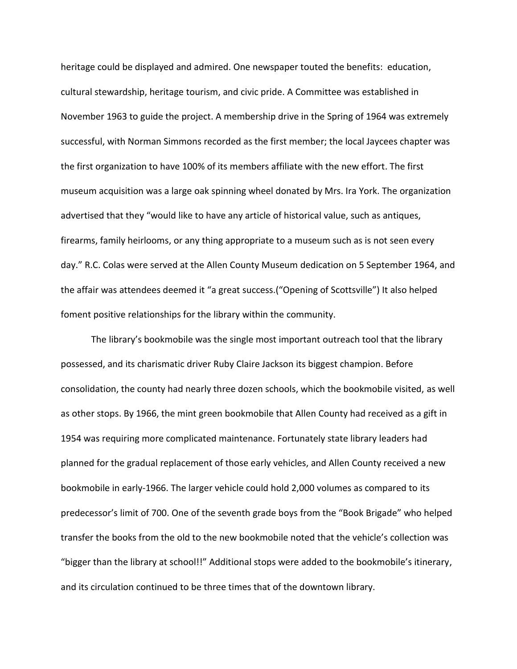heritage could be displayed and admired. One newspaper touted the benefits: education, cultural stewardship, heritage tourism, and civic pride. A Committee was established in November 1963 to guide the project. A membership drive in the Spring of 1964 was extremely successful, with Norman Simmons recorded as the first member; the local Jaycees chapter was the first organization to have 100% of its members affiliate with the new effort. The first museum acquisition was a large oak spinning wheel donated by Mrs. Ira York. The organization advertised that they "would like to have any article of historical value, such as antiques, firearms, family heirlooms, or any thing appropriate to a museum such as is not seen every day." R.C. Colas were served at the Allen County Museum dedication on 5 September 1964, and the affair was attendees deemed it "a great success.("Opening of Scottsville") It also helped foment positive relationships for the library within the community.

The library's bookmobile was the single most important outreach tool that the library possessed, and its charismatic driver Ruby Claire Jackson its biggest champion. Before consolidation, the county had nearly three dozen schools, which the bookmobile visited, as well as other stops. By 1966, the mint green bookmobile that Allen County had received as a gift in 1954 was requiring more complicated maintenance. Fortunately state library leaders had planned for the gradual replacement of those early vehicles, and Allen County received a new bookmobile in early-1966. The larger vehicle could hold 2,000 volumes as compared to its predecessor's limit of 700. One of the seventh grade boys from the "Book Brigade" who helped transfer the books from the old to the new bookmobile noted that the vehicle's collection was "bigger than the library at school!!" Additional stops were added to the bookmobile's itinerary, and its circulation continued to be three times that of the downtown library.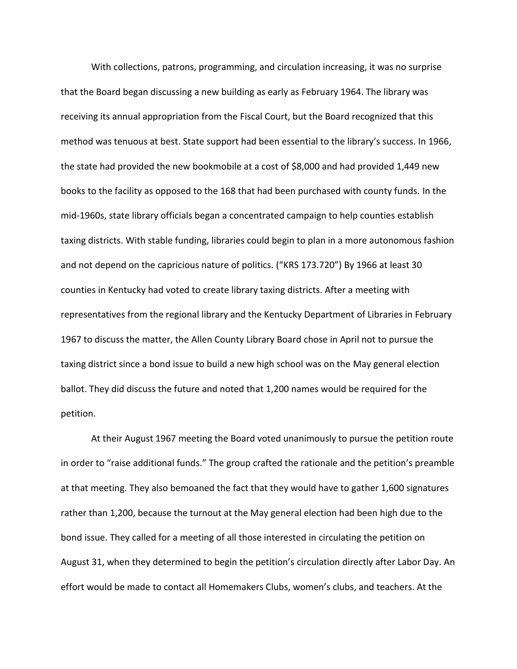With collections, patrons, programming, and circulation increasing, it was no surprise that the Board began discussing a new building as early as February 1964. The library was receiving its annual appropriation from the Fiscal Court, but the Board recognized that this method was tenuous at best. State support had been essential to the library's success. In 1966, the state had provided the new bookmobile at a cost of \$8,000 and had provided 1,449 new books to the facility as opposed to the 168 that had been purchased with county funds. In the mid-1960s, state library officials began a concentrated campaign to help counties establish taxing districts. With stable funding, libraries could begin to plan in a more autonomous fashion and not depend on the capricious nature of politics. ("KRS 173.720") By 1966 at least 30 counties in Kentucky had voted to create library taxing districts. After a meeting with representatives from the regional library and the Kentucky Department of Libraries in February 1967 to discuss the matter, the Allen County Library Board chose in April not to pursue the taxing district since a bond issue to build a new high school was on the May general election ballot. They did discuss the future and noted that 1,200 names would be required for the petition.

At their August 1967 meeting the Board voted unanimously to pursue the petition route in order to "raise additional funds." The group crafted the rationale and the petition's preamble at that meeting. They also bemoaned the fact that they would have to gather 1,600 signatures rather than 1,200, because the turnout at the May general election had been high due to the bond issue. They called for a meeting of all those interested in circulating the petition on August 31, when they determined to begin the petition's circulation directly after Labor Day. An effort would be made to contact all Homemakers Clubs, women's clubs, and teachers. At the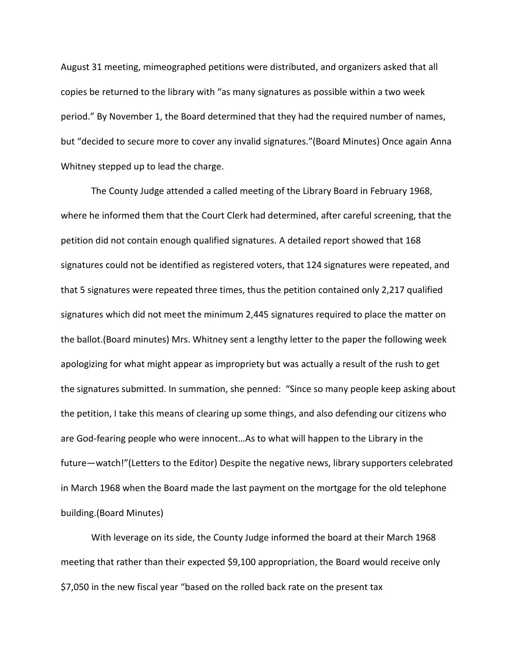August 31 meeting, mimeographed petitions were distributed, and organizers asked that all copies be returned to the library with "as many signatures as possible within a two week period." By November 1, the Board determined that they had the required number of names, but "decided to secure more to cover any invalid signatures."(Board Minutes) Once again Anna Whitney stepped up to lead the charge.

The County Judge attended a called meeting of the Library Board in February 1968, where he informed them that the Court Clerk had determined, after careful screening, that the petition did not contain enough qualified signatures. A detailed report showed that 168 signatures could not be identified as registered voters, that 124 signatures were repeated, and that 5 signatures were repeated three times, thus the petition contained only 2,217 qualified signatures which did not meet the minimum 2,445 signatures required to place the matter on the ballot.(Board minutes) Mrs. Whitney sent a lengthy letter to the paper the following week apologizing for what might appear as impropriety but was actually a result of the rush to get the signatures submitted. In summation, she penned: "Since so many people keep asking about the petition, I take this means of clearing up some things, and also defending our citizens who are God-fearing people who were innocent…As to what will happen to the Library in the future—watch!"(Letters to the Editor) Despite the negative news, library supporters celebrated in March 1968 when the Board made the last payment on the mortgage for the old telephone building.(Board Minutes)

With leverage on its side, the County Judge informed the board at their March 1968 meeting that rather than their expected \$9,100 appropriation, the Board would receive only \$7,050 in the new fiscal year "based on the rolled back rate on the present tax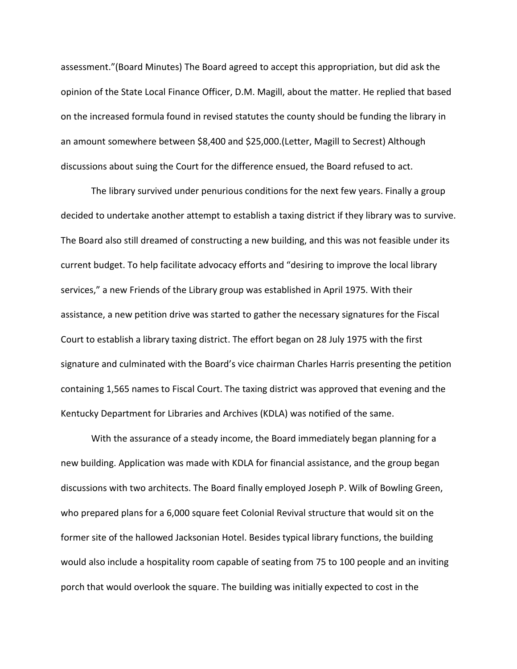assessment."(Board Minutes) The Board agreed to accept this appropriation, but did ask the opinion of the State Local Finance Officer, D.M. Magill, about the matter. He replied that based on the increased formula found in revised statutes the county should be funding the library in an amount somewhere between \$8,400 and \$25,000.(Letter, Magill to Secrest) Although discussions about suing the Court for the difference ensued, the Board refused to act.

The library survived under penurious conditions for the next few years. Finally a group decided to undertake another attempt to establish a taxing district if they library was to survive. The Board also still dreamed of constructing a new building, and this was not feasible under its current budget. To help facilitate advocacy efforts and "desiring to improve the local library services," a new Friends of the Library group was established in April 1975. With their assistance, a new petition drive was started to gather the necessary signatures for the Fiscal Court to establish a library taxing district. The effort began on 28 July 1975 with the first signature and culminated with the Board's vice chairman Charles Harris presenting the petition containing 1,565 names to Fiscal Court. The taxing district was approved that evening and the Kentucky Department for Libraries and Archives (KDLA) was notified of the same.

With the assurance of a steady income, the Board immediately began planning for a new building. Application was made with KDLA for financial assistance, and the group began discussions with two architects. The Board finally employed Joseph P. Wilk of Bowling Green, who prepared plans for a 6,000 square feet Colonial Revival structure that would sit on the former site of the hallowed Jacksonian Hotel. Besides typical library functions, the building would also include a hospitality room capable of seating from 75 to 100 people and an inviting porch that would overlook the square. The building was initially expected to cost in the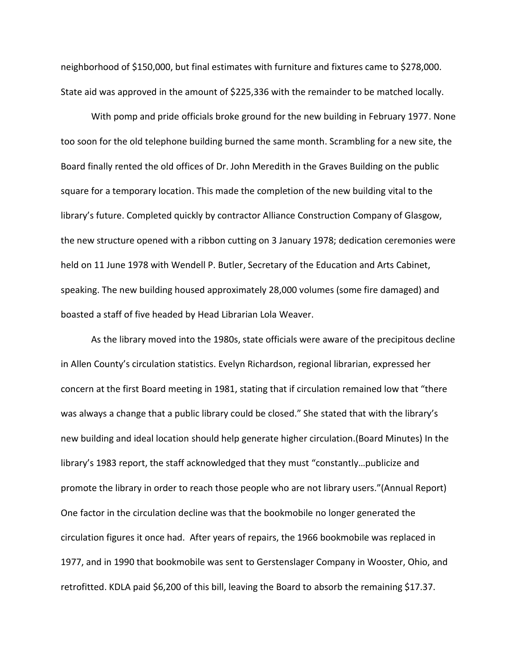neighborhood of \$150,000, but final estimates with furniture and fixtures came to \$278,000. State aid was approved in the amount of \$225,336 with the remainder to be matched locally.

With pomp and pride officials broke ground for the new building in February 1977. None too soon for the old telephone building burned the same month. Scrambling for a new site, the Board finally rented the old offices of Dr. John Meredith in the Graves Building on the public square for a temporary location. This made the completion of the new building vital to the library's future. Completed quickly by contractor Alliance Construction Company of Glasgow, the new structure opened with a ribbon cutting on 3 January 1978; dedication ceremonies were held on 11 June 1978 with Wendell P. Butler, Secretary of the Education and Arts Cabinet, speaking. The new building housed approximately 28,000 volumes (some fire damaged) and boasted a staff of five headed by Head Librarian Lola Weaver.

As the library moved into the 1980s, state officials were aware of the precipitous decline in Allen County's circulation statistics. Evelyn Richardson, regional librarian, expressed her concern at the first Board meeting in 1981, stating that if circulation remained low that "there was always a change that a public library could be closed." She stated that with the library's new building and ideal location should help generate higher circulation.(Board Minutes) In the library's 1983 report, the staff acknowledged that they must "constantly…publicize and promote the library in order to reach those people who are not library users."(Annual Report) One factor in the circulation decline was that the bookmobile no longer generated the circulation figures it once had. After years of repairs, the 1966 bookmobile was replaced in 1977, and in 1990 that bookmobile was sent to Gerstenslager Company in Wooster, Ohio, and retrofitted. KDLA paid \$6,200 of this bill, leaving the Board to absorb the remaining \$17.37.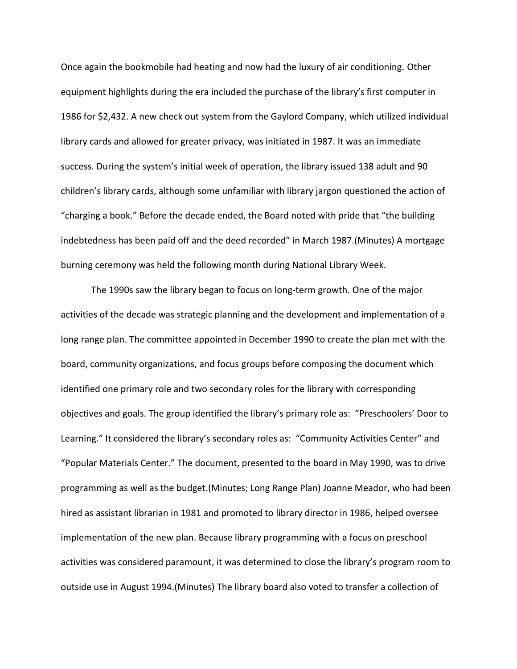Once again the bookmobile had heating and now had the luxury of air conditioning. Other equipment highlights during the era included the purchase of the library's first computer in 1986 for \$2,432. A new check out system from the Gaylord Company, which utilized individual library cards and allowed for greater privacy, was initiated in 1987. It was an immediate success. During the system's initial week of operation, the library issued 138 adult and 90 children's library cards, although some unfamiliar with library jargon questioned the action of "charging a book." Before the decade ended, the Board noted with pride that "the building indebtedness has been paid off and the deed recorded" in March 1987.(Minutes) A mortgage burning ceremony was held the following month during National Library Week.

The 1990s saw the library began to focus on long-term growth. One of the major activities of the decade was strategic planning and the development and implementation of a long range plan. The committee appointed in December 1990 to create the plan met with the board, community organizations, and focus groups before composing the document which identified one primary role and two secondary roles for the library with corresponding objectives and goals. The group identified the library's primary role as: "Preschoolers' Door to Learning." It considered the library's secondary roles as: "Community Activities Center" and "Popular Materials Center." The document, presented to the board in May 1990, was to drive programming as well as the budget.(Minutes; Long Range Plan) Joanne Meador, who had been hired as assistant librarian in 1981 and promoted to library director in 1986, helped oversee implementation of the new plan. Because library programming with a focus on preschool activities was considered paramount, it was determined to close the library's program room to outside use in August 1994.(Minutes) The library board also voted to transfer a collection of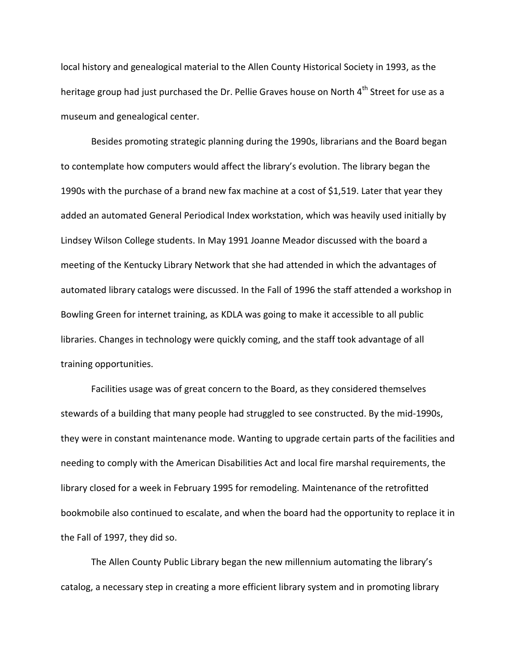local history and genealogical material to the Allen County Historical Society in 1993, as the heritage group had just purchased the Dr. Pellie Graves house on North 4<sup>th</sup> Street for use as a museum and genealogical center.

Besides promoting strategic planning during the 1990s, librarians and the Board began to contemplate how computers would affect the library's evolution. The library began the 1990s with the purchase of a brand new fax machine at a cost of \$1,519. Later that year they added an automated General Periodical Index workstation, which was heavily used initially by Lindsey Wilson College students. In May 1991 Joanne Meador discussed with the board a meeting of the Kentucky Library Network that she had attended in which the advantages of automated library catalogs were discussed. In the Fall of 1996 the staff attended a workshop in Bowling Green for internet training, as KDLA was going to make it accessible to all public libraries. Changes in technology were quickly coming, and the staff took advantage of all training opportunities.

Facilities usage was of great concern to the Board, as they considered themselves stewards of a building that many people had struggled to see constructed. By the mid-1990s, they were in constant maintenance mode. Wanting to upgrade certain parts of the facilities and needing to comply with the American Disabilities Act and local fire marshal requirements, the library closed for a week in February 1995 for remodeling. Maintenance of the retrofitted bookmobile also continued to escalate, and when the board had the opportunity to replace it in the Fall of 1997, they did so.

The Allen County Public Library began the new millennium automating the library's catalog, a necessary step in creating a more efficient library system and in promoting library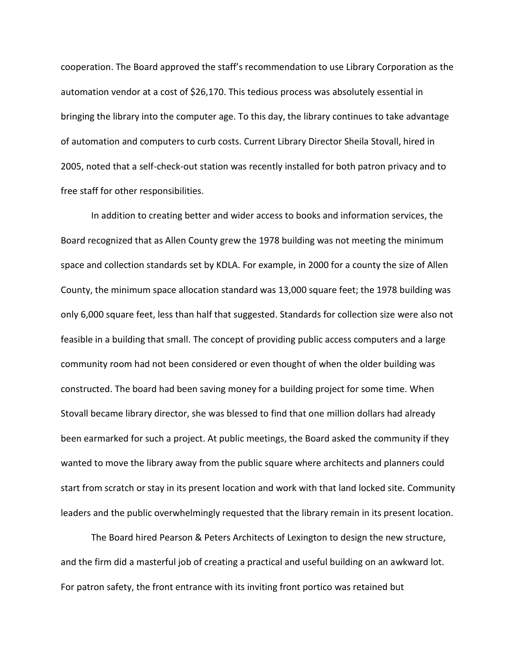cooperation. The Board approved the staff's recommendation to use Library Corporation as the automation vendor at a cost of \$26,170. This tedious process was absolutely essential in bringing the library into the computer age. To this day, the library continues to take advantage of automation and computers to curb costs. Current Library Director Sheila Stovall, hired in 2005, noted that a self-check-out station was recently installed for both patron privacy and to free staff for other responsibilities.

In addition to creating better and wider access to books and information services, the Board recognized that as Allen County grew the 1978 building was not meeting the minimum space and collection standards set by KDLA. For example, in 2000 for a county the size of Allen County, the minimum space allocation standard was 13,000 square feet; the 1978 building was only 6,000 square feet, less than half that suggested. Standards for collection size were also not feasible in a building that small. The concept of providing public access computers and a large community room had not been considered or even thought of when the older building was constructed. The board had been saving money for a building project for some time. When Stovall became library director, she was blessed to find that one million dollars had already been earmarked for such a project. At public meetings, the Board asked the community if they wanted to move the library away from the public square where architects and planners could start from scratch or stay in its present location and work with that land locked site. Community leaders and the public overwhelmingly requested that the library remain in its present location.

The Board hired Pearson & Peters Architects of Lexington to design the new structure, and the firm did a masterful job of creating a practical and useful building on an awkward lot. For patron safety, the front entrance with its inviting front portico was retained but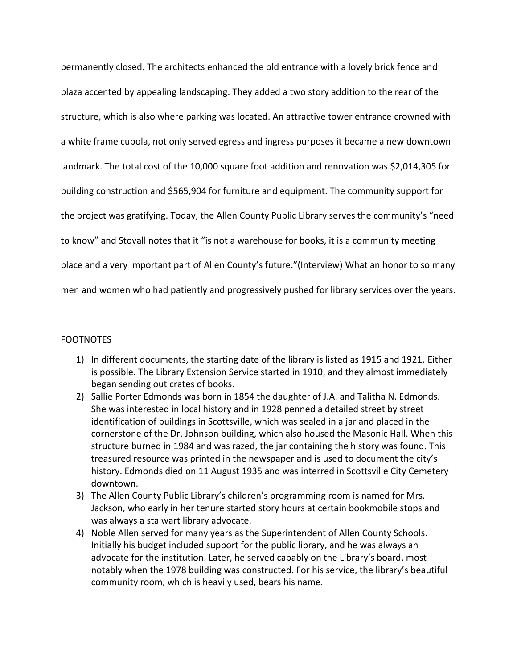permanently closed. The architects enhanced the old entrance with a lovely brick fence and plaza accented by appealing landscaping. They added a two story addition to the rear of the structure, which is also where parking was located. An attractive tower entrance crowned with a white frame cupola, not only served egress and ingress purposes it became a new downtown landmark. The total cost of the 10,000 square foot addition and renovation was \$2,014,305 for building construction and \$565,904 for furniture and equipment. The community support for the project was gratifying. Today, the Allen County Public Library serves the community's "need to know" and Stovall notes that it "is not a warehouse for books, it is a community meeting place and a very important part of Allen County's future."(Interview) What an honor to so many men and women who had patiently and progressively pushed for library services over the years.

## **FOOTNOTES**

- 1) In different documents, the starting date of the library is listed as 1915 and 1921. Either is possible. The Library Extension Service started in 1910, and they almost immediately began sending out crates of books.
- 2) Sallie Porter Edmonds was born in 1854 the daughter of J.A. and Talitha N. Edmonds. She was interested in local history and in 1928 penned a detailed street by street identification of buildings in Scottsville, which was sealed in a jar and placed in the cornerstone of the Dr. Johnson building, which also housed the Masonic Hall. When this structure burned in 1984 and was razed, the jar containing the history was found. This treasured resource was printed in the newspaper and is used to document the city's history. Edmonds died on 11 August 1935 and was interred in Scottsville City Cemetery downtown.
- 3) The Allen County Public Library's children's programming room is named for Mrs. Jackson, who early in her tenure started story hours at certain bookmobile stops and was always a stalwart library advocate.
- 4) Noble Allen served for many years as the Superintendent of Allen County Schools. Initially his budget included support for the public library, and he was always an advocate for the institution. Later, he served capably on the Library's board, most notably when the 1978 building was constructed. For his service, the library's beautiful community room, which is heavily used, bears his name.